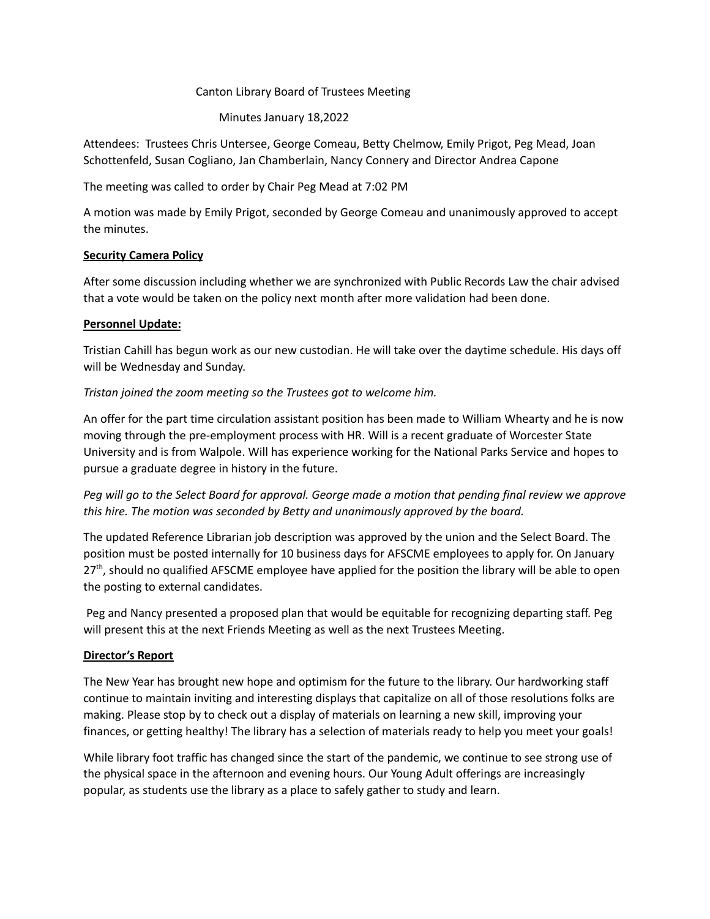#### Canton Library Board of Trustees Meeting

Minutes January 18,2022

Attendees: Trustees Chris Untersee, George Comeau, Betty Chelmow, Emily Prigot, Peg Mead, Joan Schottenfeld, Susan Cogliano, Jan Chamberlain, Nancy Connery and Director Andrea Capone

The meeting was called to order by Chair Peg Mead at 7:02 PM

A motion was made by Emily Prigot, seconded by George Comeau and unanimously approved to accept the minutes.

#### **Security Camera Policy**

After some discussion including whether we are synchronized with Public Records Law the chair advised that a vote would be taken on the policy next month after more validation had been done.

#### **Personnel Update:**

Tristian Cahill has begun work as our new custodian. He will take over the daytime schedule. His days off will be Wednesday and Sunday.

## *Tristan joined the zoom meeting so the Trustees got to welcome him.*

An offer for the part time circulation assistant position has been made to William Whearty and he is now moving through the pre-employment process with HR. Will is a recent graduate of Worcester State University and is from Walpole. Will has experience working for the National Parks Service and hopes to pursue a graduate degree in history in the future.

Peg will go to the Select Board for approval. George made a motion that pending final review we approve *this hire. The motion was seconded by Betty and unanimously approved by the board.*

The updated Reference Librarian job description was approved by the union and the Select Board. The position must be posted internally for 10 business days for AFSCME employees to apply for. On January 27<sup>th</sup>, should no qualified AFSCME employee have applied for the position the library will be able to open the posting to external candidates.

Peg and Nancy presented a proposed plan that would be equitable for recognizing departing staff. Peg will present this at the next Friends Meeting as well as the next Trustees Meeting.

#### **Director's Report**

The New Year has brought new hope and optimism for the future to the library. Our hardworking staff continue to maintain inviting and interesting displays that capitalize on all of those resolutions folks are making. Please stop by to check out a display of materials on learning a new skill, improving your finances, or getting healthy! The library has a selection of materials ready to help you meet your goals!

While library foot traffic has changed since the start of the pandemic, we continue to see strong use of the physical space in the afternoon and evening hours. Our Young Adult offerings are increasingly popular, as students use the library as a place to safely gather to study and learn.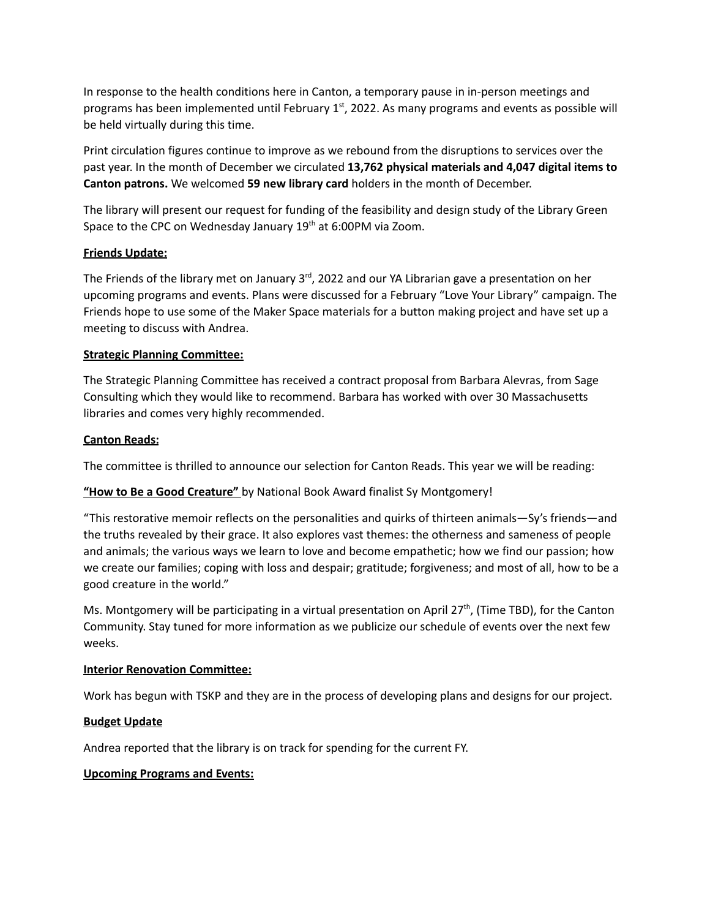In response to the health conditions here in Canton, a temporary pause in in-person meetings and programs has been implemented until February  $1<sup>st</sup>$ , 2022. As many programs and events as possible will be held virtually during this time.

Print circulation figures continue to improve as we rebound from the disruptions to services over the past year. In the month of December we circulated **13,762 physical materials and 4,047 digital items to Canton patrons.** We welcomed **59 new library card** holders in the month of December.

The library will present our request for funding of the feasibility and design study of the Library Green Space to the CPC on Wednesday January 19<sup>th</sup> at 6:00PM via Zoom.

## **Friends Update:**

The Friends of the library met on January 3<sup>rd</sup>, 2022 and our YA Librarian gave a presentation on her upcoming programs and events. Plans were discussed for a February "Love Your Library" campaign. The Friends hope to use some of the Maker Space materials for a button making project and have set up a meeting to discuss with Andrea.

## **Strategic Planning Committee:**

The Strategic Planning Committee has received a contract proposal from Barbara Alevras, from Sage Consulting which they would like to recommend. Barbara has worked with over 30 Massachusetts libraries and comes very highly recommended.

## **Canton Reads:**

The committee is thrilled to announce our selection for Canton Reads. This year we will be reading:

## **"How to Be a Good Creature"** by National Book Award finalist Sy Montgomery!

"This restorative memoir reflects on the personalities and quirks of thirteen animals—Sy's friends—and the truths revealed by their grace. It also explores vast themes: the otherness and sameness of people and animals; the various ways we learn to love and become empathetic; how we find our passion; how we create our families; coping with loss and despair; gratitude; forgiveness; and most of all, how to be a good creature in the world."

Ms. Montgomery will be participating in a virtual presentation on April 27<sup>th</sup>, (Time TBD), for the Canton Community. Stay tuned for more information as we publicize our schedule of events over the next few weeks.

#### **Interior Renovation Committee:**

Work has begun with TSKP and they are in the process of developing plans and designs for our project.

## **Budget Update**

Andrea reported that the library is on track for spending for the current FY.

#### **Upcoming Programs and Events:**